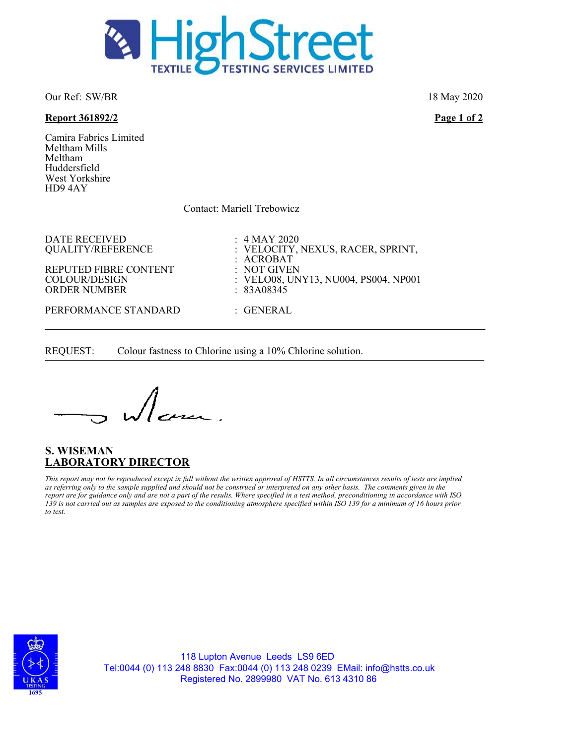

Our Ref: SW/BR 18 May 2020

#### Report 361892/2 Page 1 of 2

Camira Fabrics Limited Meltham Mills Meltham Huddersfield West Yorkshire HD9 4AY

Contact: Mariell Trebowicz

DATE RECEIVED : 4 MAY 2020<br>QUALITY/REFERENCE : VELOCITY,

REPUTED FIBRE CONTENT : NOT GIVEN<br>COLOUR/DESIGN : VELO08, UN ORDER NUMBER

: VELOCITY, NEXUS, RACER, SPRINT, : ACROBAT : VELO08, UNY13, NU004, PS004, NP001<br>: 83A08345 PERFORMANCE STANDARD : GENERAL

REQUEST: Colour fastness to Chlorine using a 10% Chlorine solution.

comme.

# S. WISEMAN LABORATORY DIRECTOR

This report may not be reproduced except in full without the written approval of HSTTS. In all circumstances results of tests are implied as referring only to the sample supplied and should not be construed or interpreted on any other basis. The comments given in the report are for guidance only and are not a part of the results. Where specified in a test method, preconditioning in accordance with ISO 139 is not carried out as samples are exposed to the conditioning atmosphere specified within ISO 139 for a minimum of 16 hours prior to test.



118 Lupton Avenue Leeds LS9 6ED Tel:0044 (0) 113 248 8830 Fax:0044 (0) 113 248 0239 EMail: info@hstts.co.uk Registered No. 2899980 VAT No. 613 4310 86